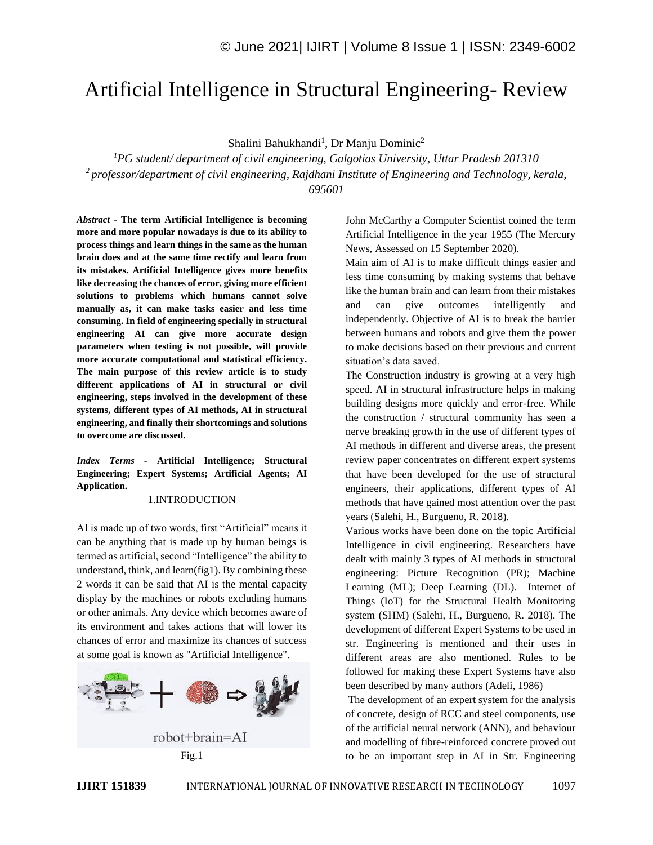# Artificial Intelligence in Structural Engineering- Review

Shalini Bahukhandi<sup>1</sup>, Dr Manju Dominic<sup>2</sup>

*<sup>1</sup>PG student/ department of civil engineering, Galgotias University, Uttar Pradesh 201310 <sup>2</sup>professor/department of civil engineering, Rajdhani Institute of Engineering and Technology, kerala, 695601*

*Abstract -* **The term Artificial Intelligence is becoming more and more popular nowadays is due to its ability to process things and learn things in the same as the human brain does and at the same time rectify and learn from its mistakes. Artificial Intelligence gives more benefits like decreasing the chances of error, giving more efficient solutions to problems which humans cannot solve manually as, it can make tasks easier and less time consuming. In field of engineering specially in structural engineering AI can give more accurate design parameters when testing is not possible, will provide more accurate computational and statistical efficiency. The main purpose of this review article is to study different applications of AI in structural or civil engineering, steps involved in the development of these systems, different types of AI methods, AI in structural engineering, and finally their shortcomings and solutions to overcome are discussed.**

*Index Terms -* **Artificial Intelligence; Structural Engineering; Expert Systems; Artificial Agents; AI Application.**

# 1.INTRODUCTION

AI is made up of two words, first "Artificial" means it can be anything that is made up by human beings is termed as artificial, second "Intelligence" the ability to understand, think, and learn(fig1). By combining these 2 words it can be said that AI is the mental capacity display by the machines or robots excluding humans or other animals. Any device which becomes aware of its environment and takes actions that will lower its chances of error and maximize its chances of success at some goal is known as "Artificial Intelligence".



John McCarthy a Computer Scientist coined the term Artificial Intelligence in the year 1955 (The Mercury News, Assessed on 15 September 2020).

Main aim of AI is to make difficult things easier and less time consuming by making systems that behave like the human brain and can learn from their mistakes and can give outcomes intelligently and independently. Objective of AI is to break the barrier between humans and robots and give them the power to make decisions based on their previous and current situation's data saved.

The Construction industry is growing at a very high speed. AI in structural infrastructure helps in making building designs more quickly and error-free. While the construction / structural community has seen a nerve breaking growth in the use of different types of AI methods in different and diverse areas, the present review paper concentrates on different expert systems that have been developed for the use of structural engineers, their applications, different types of AI methods that have gained most attention over the past years (Salehi, H., Burgueno, R. 2018).

Various works have been done on the topic Artificial Intelligence in civil engineering. Researchers have dealt with mainly 3 types of AI methods in structural engineering: Picture Recognition (PR); Machine Learning (ML); Deep Learning (DL). Internet of Things (IoT) for the Structural Health Monitoring system (SHM) (Salehi, H., Burgueno, R. 2018). The development of different Expert Systems to be used in str. Engineering is mentioned and their uses in different areas are also mentioned. Rules to be followed for making these Expert Systems have also been described by many authors (Adeli, 1986)

The development of an expert system for the analysis of concrete, design of RCC and steel components, use of the artificial neural network (ANN), and behaviour and modelling of fibre-reinforced concrete proved out to be an important step in AI in Str. Engineering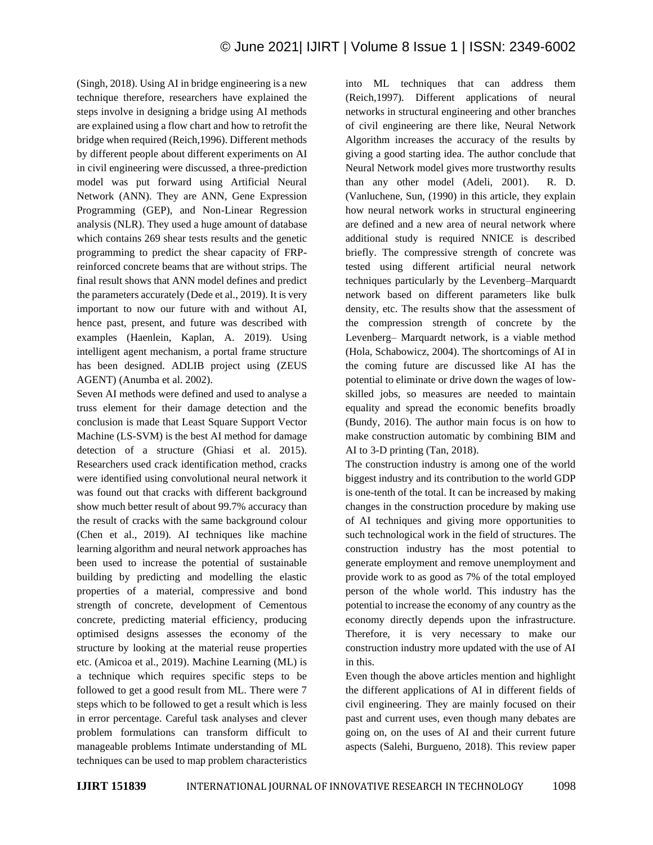(Singh, 2018). Using AI in bridge engineering is a new technique therefore, researchers have explained the steps involve in designing a bridge using AI methods are explained using a flow chart and how to retrofit the bridge when required (Reich,1996). Different methods by different people about different experiments on AI in civil engineering were discussed, a three-prediction model was put forward using Artificial Neural Network (ANN). They are ANN, Gene Expression Programming (GEP), and Non-Linear Regression analysis (NLR). They used a huge amount of database which contains 269 shear tests results and the genetic programming to predict the shear capacity of FRPreinforced concrete beams that are without strips. The final result shows that ANN model defines and predict the parameters accurately (Dede et al., 2019). It is very important to now our future with and without AI, hence past, present, and future was described with examples (Haenlein, Kaplan, A. 2019). Using intelligent agent mechanism, a portal frame structure has been designed. ADLIB project using (ZEUS AGENT) (Anumba et al. 2002).

Seven AI methods were defined and used to analyse a truss element for their damage detection and the conclusion is made that Least Square Support Vector Machine (LS-SVM) is the best AI method for damage detection of a structure (Ghiasi et al. 2015). Researchers used crack identification method, cracks were identified using convolutional neural network it was found out that cracks with different background show much better result of about 99.7% accuracy than the result of cracks with the same background colour (Chen et al., 2019). AI techniques like machine learning algorithm and neural network approaches has been used to increase the potential of sustainable building by predicting and modelling the elastic properties of a material, compressive and bond strength of concrete, development of Cementous concrete, predicting material efficiency, producing optimised designs assesses the economy of the structure by looking at the material reuse properties etc. (Amicoa et al., 2019). Machine Learning (ML) is a technique which requires specific steps to be followed to get a good result from ML. There were 7 steps which to be followed to get a result which is less in error percentage. Careful task analyses and clever problem formulations can transform difficult to manageable problems Intimate understanding of ML techniques can be used to map problem characteristics into ML techniques that can address them (Reich,1997). Different applications of neural networks in structural engineering and other branches of civil engineering are there like, Neural Network Algorithm increases the accuracy of the results by giving a good starting idea. The author conclude that Neural Network model gives more trustworthy results than any other model (Adeli, 2001). R. D. (Vanluchene, Sun, (1990) in this article, they explain how neural network works in structural engineering are defined and a new area of neural network where additional study is required NNICE is described briefly. The compressive strength of concrete was tested using different artificial neural network techniques particularly by the Levenberg–Marquardt network based on different parameters like bulk density, etc. The results show that the assessment of the compression strength of concrete by the Levenberg– Marquardt network, is a viable method (Hola, Schabowicz, 2004). The shortcomings of AI in the coming future are discussed like AI has the potential to eliminate or drive down the wages of lowskilled jobs, so measures are needed to maintain equality and spread the economic benefits broadly (Bundy, 2016). The author main focus is on how to make construction automatic by combining BIM and AI to 3-D printing (Tan, 2018).

The construction industry is among one of the world biggest industry and its contribution to the world GDP is one-tenth of the total. It can be increased by making changes in the construction procedure by making use of AI techniques and giving more opportunities to such technological work in the field of structures. The construction industry has the most potential to generate employment and remove unemployment and provide work to as good as 7% of the total employed person of the whole world. This industry has the potential to increase the economy of any country as the economy directly depends upon the infrastructure. Therefore, it is very necessary to make our construction industry more updated with the use of AI in this.

Even though the above articles mention and highlight the different applications of AI in different fields of civil engineering. They are mainly focused on their past and current uses, even though many debates are going on, on the uses of AI and their current future aspects (Salehi, Burgueno, 2018). This review paper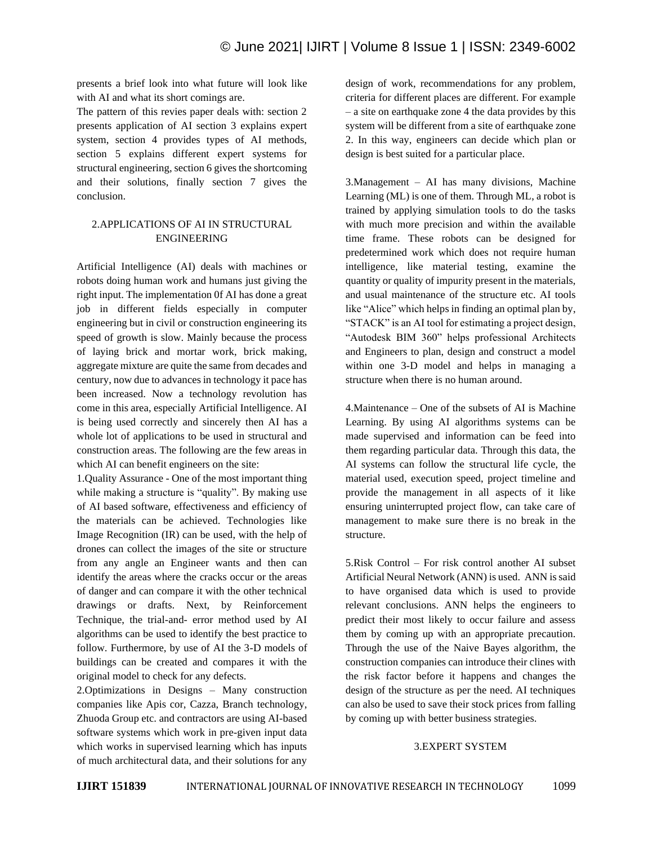presents a brief look into what future will look like with AI and what its short comings are.

The pattern of this revies paper deals with: section 2 presents application of AI section 3 explains expert system, section 4 provides types of AI methods, section 5 explains different expert systems for structural engineering, section 6 gives the shortcoming and their solutions, finally section 7 gives the conclusion.

# 2.APPLICATIONS OF AI IN STRUCTURAL ENGINEERING

Artificial Intelligence (AI) deals with machines or robots doing human work and humans just giving the right input. The implementation 0f AI has done a great job in different fields especially in computer engineering but in civil or construction engineering its speed of growth is slow. Mainly because the process of laying brick and mortar work, brick making, aggregate mixture are quite the same from decades and century, now due to advances in technology it pace has been increased. Now a technology revolution has come in this area, especially Artificial Intelligence. AI is being used correctly and sincerely then AI has a whole lot of applications to be used in structural and construction areas. The following are the few areas in which AI can benefit engineers on the site:

1.Quality Assurance - One of the most important thing while making a structure is "quality". By making use of AI based software, effectiveness and efficiency of the materials can be achieved. Technologies like Image Recognition (IR) can be used, with the help of drones can collect the images of the site or structure from any angle an Engineer wants and then can identify the areas where the cracks occur or the areas of danger and can compare it with the other technical drawings or drafts. Next, by Reinforcement Technique, the trial-and- error method used by AI algorithms can be used to identify the best practice to follow. Furthermore, by use of AI the 3-D models of buildings can be created and compares it with the original model to check for any defects.

2.Optimizations in Designs – Many construction companies like Apis cor, Cazza, Branch technology, Zhuoda Group etc. and contractors are using AI-based software systems which work in pre-given input data which works in supervised learning which has inputs of much architectural data, and their solutions for any design of work, recommendations for any problem, criteria for different places are different. For example – a site on earthquake zone 4 the data provides by this system will be different from a site of earthquake zone 2. In this way, engineers can decide which plan or design is best suited for a particular place.

3.Management – AI has many divisions, Machine Learning (ML) is one of them. Through ML, a robot is trained by applying simulation tools to do the tasks with much more precision and within the available time frame. These robots can be designed for predetermined work which does not require human intelligence, like material testing, examine the quantity or quality of impurity present in the materials, and usual maintenance of the structure etc. AI tools like "Alice" which helps in finding an optimal plan by, "STACK" is an AI tool for estimating a project design, "Autodesk BIM 360" helps professional Architects and Engineers to plan, design and construct a model within one 3-D model and helps in managing a structure when there is no human around.

4.Maintenance – One of the subsets of AI is Machine Learning. By using AI algorithms systems can be made supervised and information can be feed into them regarding particular data. Through this data, the AI systems can follow the structural life cycle, the material used, execution speed, project timeline and provide the management in all aspects of it like ensuring uninterrupted project flow, can take care of management to make sure there is no break in the structure.

5.Risk Control – For risk control another AI subset Artificial Neural Network (ANN) is used. ANN is said to have organised data which is used to provide relevant conclusions. ANN helps the engineers to predict their most likely to occur failure and assess them by coming up with an appropriate precaution. Through the use of the Naive Bayes algorithm, the construction companies can introduce their clines with the risk factor before it happens and changes the design of the structure as per the need. AI techniques can also be used to save their stock prices from falling by coming up with better business strategies.

#### 3.EXPERT SYSTEM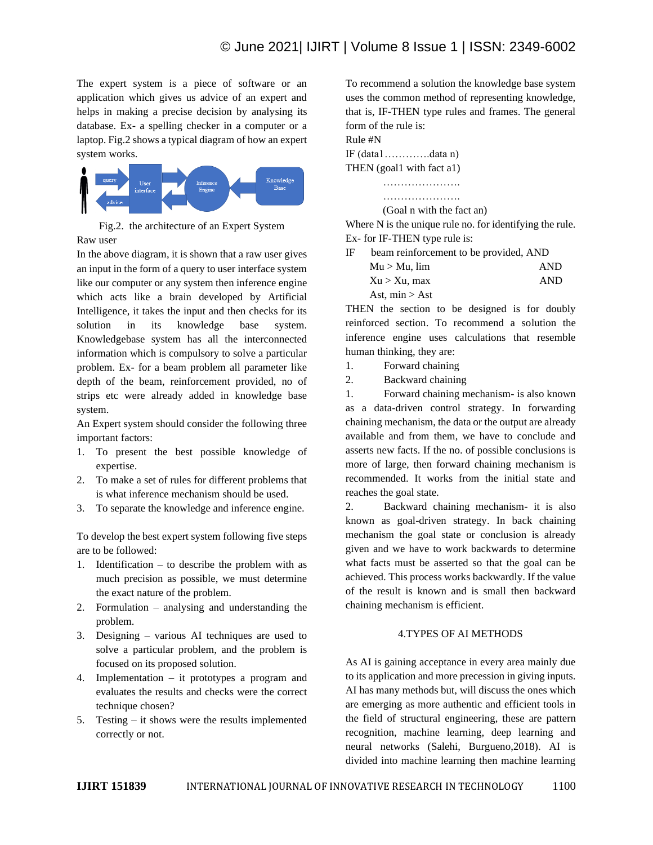The expert system is a piece of software or an application which gives us advice of an expert and helps in making a precise decision by analysing its database. Ex- a spelling checker in a computer or a laptop. Fig.2 shows a typical diagram of how an expert system works.



Fig.2. the architecture of an Expert System Raw user

In the above diagram, it is shown that a raw user gives an input in the form of a query to user interface system like our computer or any system then inference engine which acts like a brain developed by Artificial Intelligence, it takes the input and then checks for its solution in its knowledge base system. Knowledgebase system has all the interconnected information which is compulsory to solve a particular problem. Ex- for a beam problem all parameter like depth of the beam, reinforcement provided, no of strips etc were already added in knowledge base system.

An Expert system should consider the following three important factors:

- 1. To present the best possible knowledge of expertise.
- 2. To make a set of rules for different problems that is what inference mechanism should be used.
- 3. To separate the knowledge and inference engine.

To develop the best expert system following five steps are to be followed:

- 1. Identification to describe the problem with as much precision as possible, we must determine the exact nature of the problem.
- 2. Formulation analysing and understanding the problem.
- 3. Designing various AI techniques are used to solve a particular problem, and the problem is focused on its proposed solution.
- 4. Implementation it prototypes a program and evaluates the results and checks were the correct technique chosen?
- 5. Testing it shows were the results implemented correctly or not.

To recommend a solution the knowledge base system uses the common method of representing knowledge, that is, IF-THEN type rules and frames. The general form of the rule is:

Rule #N IF (data1………….data n) THEN (goal1 with fact a1)



Where N is the unique rule no. for identifying the rule. Ex- for IF-THEN type rule is:

IF beam reinforcement to be provided, AND

| $Mu > Mu$ , $lim$ | <b>AND</b> |
|-------------------|------------|
| $Xu > Xu$ , max   | <b>AND</b> |
| Ast, $min > Ast$  |            |

THEN the section to be designed is for doubly reinforced section. To recommend a solution the inference engine uses calculations that resemble human thinking, they are:

1. Forward chaining

2. Backward chaining

1. Forward chaining mechanism- is also known as a data-driven control strategy. In forwarding chaining mechanism, the data or the output are already available and from them, we have to conclude and asserts new facts. If the no. of possible conclusions is more of large, then forward chaining mechanism is recommended. It works from the initial state and reaches the goal state.

2. Backward chaining mechanism- it is also known as goal-driven strategy. In back chaining mechanism the goal state or conclusion is already given and we have to work backwards to determine what facts must be asserted so that the goal can be achieved. This process works backwardly. If the value of the result is known and is small then backward chaining mechanism is efficient.

#### 4.TYPES OF AI METHODS

As AI is gaining acceptance in every area mainly due to its application and more precession in giving inputs. AI has many methods but, will discuss the ones which are emerging as more authentic and efficient tools in the field of structural engineering, these are pattern recognition, machine learning, deep learning and neural networks (Salehi, Burgueno,2018). AI is divided into machine learning then machine learning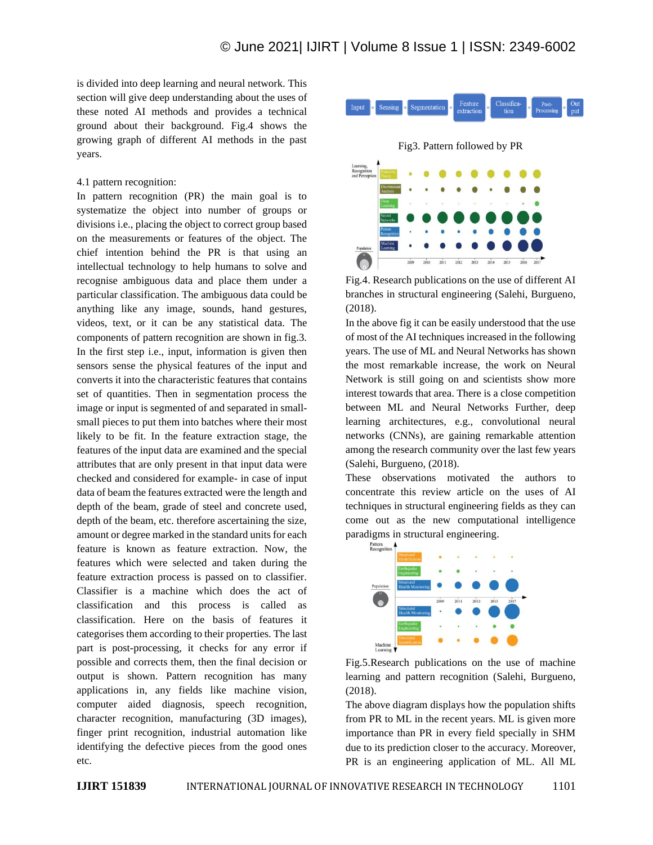is divided into deep learning and neural network. This section will give deep understanding about the uses of these noted AI methods and provides a technical ground about their background. Fig.4 shows the growing graph of different AI methods in the past years.

#### 4.1 pattern recognition:

In pattern recognition (PR) the main goal is to systematize the object into number of groups or divisions i.e., placing the object to correct group based on the measurements or features of the object. The chief intention behind the PR is that using an intellectual technology to help humans to solve and recognise ambiguous data and place them under a particular classification. The ambiguous data could be anything like any image, sounds, hand gestures, videos, text, or it can be any statistical data. The components of pattern recognition are shown in fig.3. In the first step i.e., input, information is given then sensors sense the physical features of the input and converts it into the characteristic features that contains set of quantities. Then in segmentation process the image or input is segmented of and separated in smallsmall pieces to put them into batches where their most likely to be fit. In the feature extraction stage, the features of the input data are examined and the special attributes that are only present in that input data were checked and considered for example- in case of input data of beam the features extracted were the length and depth of the beam, grade of steel and concrete used, depth of the beam, etc. therefore ascertaining the size, amount or degree marked in the standard units for each feature is known as feature extraction. Now, the features which were selected and taken during the feature extraction process is passed on to classifier. Classifier is a machine which does the act of classification and this process is called as classification. Here on the basis of features it categorises them according to their properties. The last part is post-processing, it checks for any error if possible and corrects them, then the final decision or output is shown. Pattern recognition has many applications in, any fields like machine vision, computer aided diagnosis, speech recognition, character recognition, manufacturing (3D images), finger print recognition, industrial automation like identifying the defective pieces from the good ones etc.



Fig.4. Research publications on the use of different AI branches in structural engineering (Salehi, Burgueno, (2018).

In the above fig it can be easily understood that the use of most of the AI techniques increased in the following years. The use of ML and Neural Networks has shown the most remarkable increase, the work on Neural Network is still going on and scientists show more interest towards that area. There is a close competition between ML and Neural Networks Further, deep learning architectures, e.g., convolutional neural networks (CNNs), are gaining remarkable attention among the research community over the last few years (Salehi, Burgueno, (2018).

These observations motivated the authors to concentrate this review article on the uses of AI techniques in structural engineering fields as they can come out as the new computational intelligence paradigms in structural engineering.



Fig.5.Research publications on the use of machine learning and pattern recognition (Salehi, Burgueno, (2018).

The above diagram displays how the population shifts from PR to ML in the recent years. ML is given more importance than PR in every field specially in SHM due to its prediction closer to the accuracy. Moreover, PR is an engineering application of ML. All ML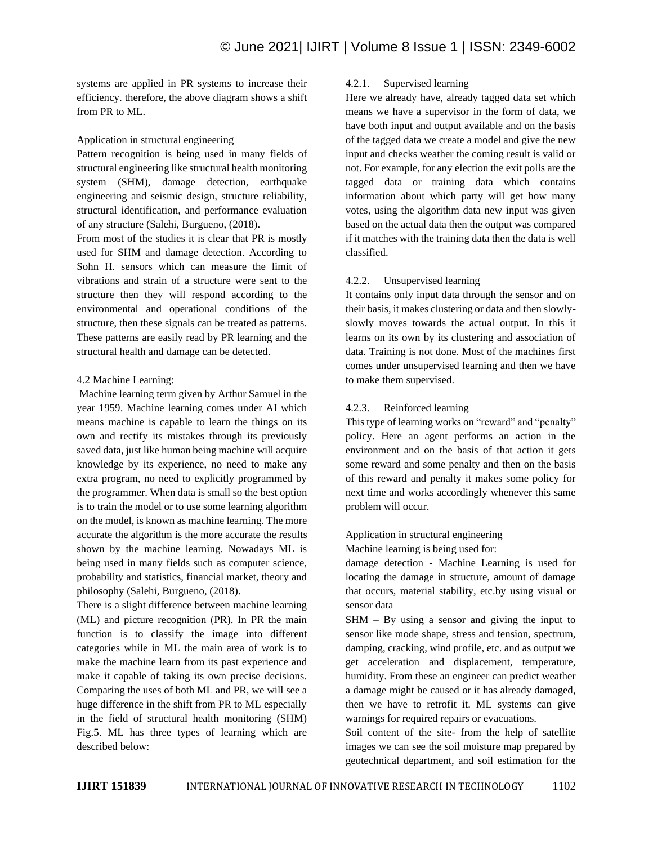systems are applied in PR systems to increase their efficiency. therefore, the above diagram shows a shift from PR to ML.

# Application in structural engineering

Pattern recognition is being used in many fields of structural engineering like structural health monitoring system (SHM), damage detection, earthquake engineering and seismic design, structure reliability, structural identification, and performance evaluation of any structure (Salehi, Burgueno, (2018).

From most of the studies it is clear that PR is mostly used for SHM and damage detection. According to Sohn H. sensors which can measure the limit of vibrations and strain of a structure were sent to the structure then they will respond according to the environmental and operational conditions of the structure, then these signals can be treated as patterns. These patterns are easily read by PR learning and the structural health and damage can be detected.

#### 4.2 Machine Learning:

Machine learning term given by Arthur Samuel in the year 1959. Machine learning comes under AI which means machine is capable to learn the things on its own and rectify its mistakes through its previously saved data, just like human being machine will acquire knowledge by its experience, no need to make any extra program, no need to explicitly programmed by the programmer. When data is small so the best option is to train the model or to use some learning algorithm on the model, is known as machine learning. The more accurate the algorithm is the more accurate the results shown by the machine learning. Nowadays ML is being used in many fields such as computer science, probability and statistics, financial market, theory and philosophy (Salehi, Burgueno, (2018).

There is a slight difference between machine learning (ML) and picture recognition (PR). In PR the main function is to classify the image into different categories while in ML the main area of work is to make the machine learn from its past experience and make it capable of taking its own precise decisions. Comparing the uses of both ML and PR, we will see a huge difference in the shift from PR to ML especially in the field of structural health monitoring (SHM) Fig.5. ML has three types of learning which are described below:

#### 4.2.1. Supervised learning

Here we already have, already tagged data set which means we have a supervisor in the form of data, we have both input and output available and on the basis of the tagged data we create a model and give the new input and checks weather the coming result is valid or not. For example, for any election the exit polls are the tagged data or training data which contains information about which party will get how many votes, using the algorithm data new input was given based on the actual data then the output was compared if it matches with the training data then the data is well classified.

## 4.2.2. Unsupervised learning

It contains only input data through the sensor and on their basis, it makes clustering or data and then slowlyslowly moves towards the actual output. In this it learns on its own by its clustering and association of data. Training is not done. Most of the machines first comes under unsupervised learning and then we have to make them supervised.

## 4.2.3. Reinforced learning

This type of learning works on "reward" and "penalty" policy. Here an agent performs an action in the environment and on the basis of that action it gets some reward and some penalty and then on the basis of this reward and penalty it makes some policy for next time and works accordingly whenever this same problem will occur.

## Application in structural engineering

Machine learning is being used for:

damage detection - Machine Learning is used for locating the damage in structure, amount of damage that occurs, material stability, etc.by using visual or sensor data

SHM – By using a sensor and giving the input to sensor like mode shape, stress and tension, spectrum, damping, cracking, wind profile, etc. and as output we get acceleration and displacement, temperature, humidity. From these an engineer can predict weather a damage might be caused or it has already damaged, then we have to retrofit it. ML systems can give warnings for required repairs or evacuations.

Soil content of the site- from the help of satellite images we can see the soil moisture map prepared by geotechnical department, and soil estimation for the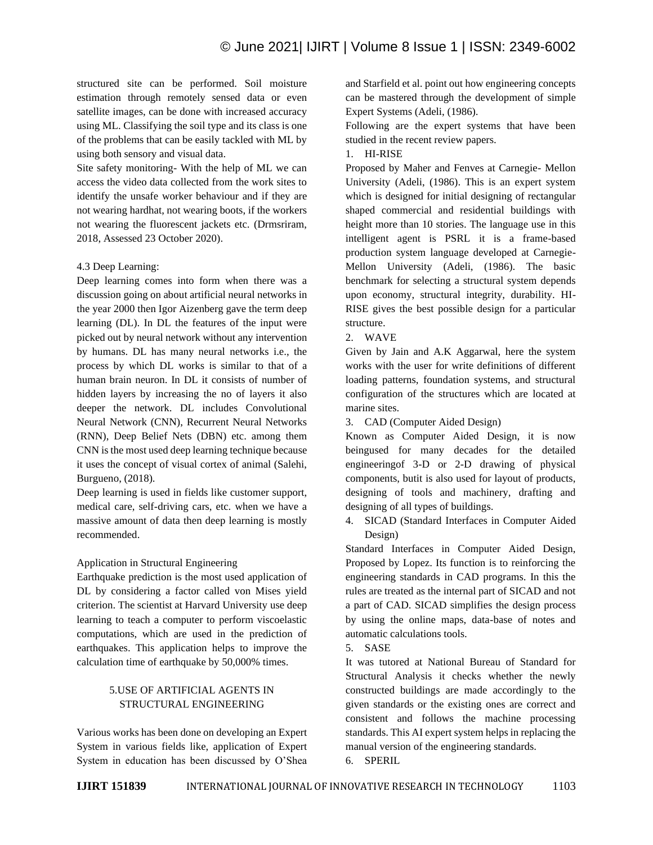structured site can be performed. Soil moisture estimation through remotely sensed data or even satellite images, can be done with increased accuracy using ML. Classifying the soil type and its class is one of the problems that can be easily tackled with ML by using both sensory and visual data.

Site safety monitoring- With the help of ML we can access the video data collected from the work sites to identify the unsafe worker behaviour and if they are not wearing hardhat, not wearing boots, if the workers not wearing the fluorescent jackets etc. (Drmsriram, 2018, Assessed 23 October 2020).

#### 4.3 Deep Learning:

Deep learning comes into form when there was a discussion going on about artificial neural networks in the year 2000 then Igor Aizenberg gave the term deep learning (DL). In DL the features of the input were picked out by neural network without any intervention by humans. DL has many neural networks i.e., the process by which DL works is similar to that of a human brain neuron. In DL it consists of number of hidden layers by increasing the no of layers it also deeper the network. DL includes Convolutional Neural Network (CNN), Recurrent Neural Networks (RNN), Deep Belief Nets (DBN) etc. among them CNN is the most used deep learning technique because it uses the concept of visual cortex of animal (Salehi, Burgueno, (2018).

Deep learning is used in fields like customer support, medical care, self-driving cars, etc. when we have a massive amount of data then deep learning is mostly recommended.

#### Application in Structural Engineering

Earthquake prediction is the most used application of DL by considering a factor called von Mises yield criterion. The scientist at Harvard University use deep learning to teach a computer to perform viscoelastic computations, which are used in the prediction of earthquakes. This application helps to improve the calculation time of earthquake by 50,000% times.

# 5.USE OF ARTIFICIAL AGENTS IN STRUCTURAL ENGINEERING

Various works has been done on developing an Expert System in various fields like, application of Expert System in education has been discussed by O'Shea and Starfield et al. point out how engineering concepts can be mastered through the development of simple Expert Systems (Adeli, (1986).

Following are the expert systems that have been studied in the recent review papers.

#### 1. HI-RISE

Proposed by Maher and Fenves at Carnegie- Mellon University (Adeli, (1986). This is an expert system which is designed for initial designing of rectangular shaped commercial and residential buildings with height more than 10 stories. The language use in this intelligent agent is PSRL it is a frame-based production system language developed at Carnegie-Mellon University (Adeli, (1986). The basic benchmark for selecting a structural system depends upon economy, structural integrity, durability. HI-RISE gives the best possible design for a particular structure.

2. WAVE

Given by Jain and A.K Aggarwal, here the system works with the user for write definitions of different loading patterns, foundation systems, and structural configuration of the structures which are located at marine sites.

3. CAD (Computer Aided Design)

Known as Computer Aided Design, it is now beingused for many decades for the detailed engineeringof 3-D or 2-D drawing of physical components, butit is also used for layout of products, designing of tools and machinery, drafting and designing of all types of buildings.

4. SICAD (Standard Interfaces in Computer Aided Design)

Standard Interfaces in Computer Aided Design, Proposed by Lopez. Its function is to reinforcing the engineering standards in CAD programs. In this the rules are treated as the internal part of SICAD and not a part of CAD. SICAD simplifies the design process by using the online maps, data-base of notes and automatic calculations tools.

5. SASE

It was tutored at National Bureau of Standard for Structural Analysis it checks whether the newly constructed buildings are made accordingly to the given standards or the existing ones are correct and consistent and follows the machine processing standards. This AI expert system helps in replacing the manual version of the engineering standards.

6. SPERIL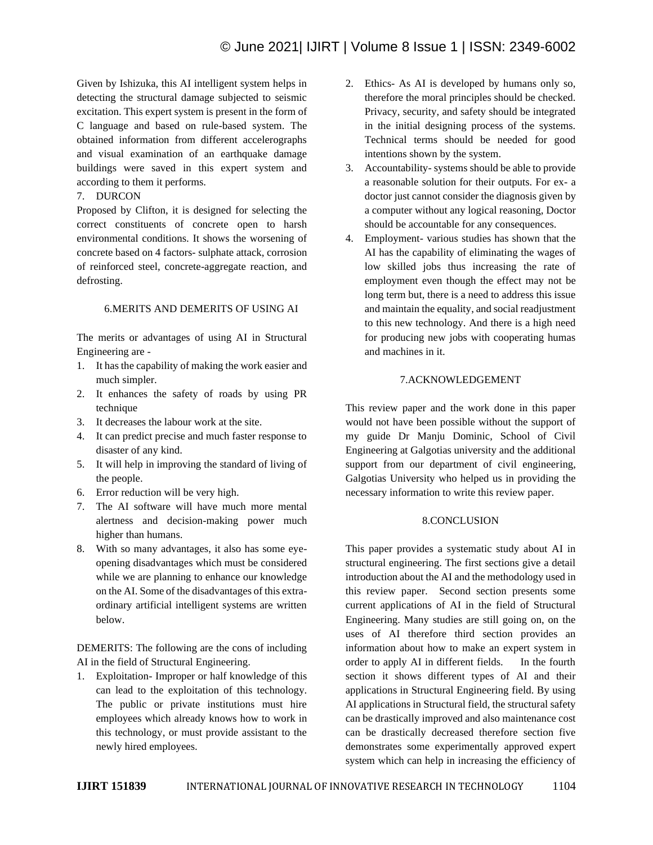Given by Ishizuka, this AI intelligent system helps in detecting the structural damage subjected to seismic excitation. This expert system is present in the form of C language and based on rule-based system. The obtained information from different accelerographs and visual examination of an earthquake damage buildings were saved in this expert system and according to them it performs.

# 7. DURCON

Proposed by Clifton, it is designed for selecting the correct constituents of concrete open to harsh environmental conditions. It shows the worsening of concrete based on 4 factors- sulphate attack, corrosion of reinforced steel, concrete-aggregate reaction, and defrosting.

## 6.MERITS AND DEMERITS OF USING AI

The merits or advantages of using AI in Structural Engineering are -

- 1. It has the capability of making the work easier and much simpler.
- 2. It enhances the safety of roads by using PR technique
- 3. It decreases the labour work at the site.
- 4. It can predict precise and much faster response to disaster of any kind.
- 5. It will help in improving the standard of living of the people.
- 6. Error reduction will be very high.
- 7. The AI software will have much more mental alertness and decision-making power much higher than humans.
- 8. With so many advantages, it also has some eyeopening disadvantages which must be considered while we are planning to enhance our knowledge on the AI. Some of the disadvantages of this extraordinary artificial intelligent systems are written below.

DEMERITS: The following are the cons of including AI in the field of Structural Engineering.

1. Exploitation- Improper or half knowledge of this can lead to the exploitation of this technology. The public or private institutions must hire employees which already knows how to work in this technology, or must provide assistant to the newly hired employees.

- 2. Ethics- As AI is developed by humans only so, therefore the moral principles should be checked. Privacy, security, and safety should be integrated in the initial designing process of the systems. Technical terms should be needed for good intentions shown by the system.
- 3. Accountability- systems should be able to provide a reasonable solution for their outputs. For ex- a doctor just cannot consider the diagnosis given by a computer without any logical reasoning, Doctor should be accountable for any consequences.
- 4. Employment- various studies has shown that the AI has the capability of eliminating the wages of low skilled jobs thus increasing the rate of employment even though the effect may not be long term but, there is a need to address this issue and maintain the equality, and social readjustment to this new technology. And there is a high need for producing new jobs with cooperating humas and machines in it.

# 7.ACKNOWLEDGEMENT

This review paper and the work done in this paper would not have been possible without the support of my guide Dr Manju Dominic, School of Civil Engineering at Galgotias university and the additional support from our department of civil engineering, Galgotias University who helped us in providing the necessary information to write this review paper.

## 8.CONCLUSION

This paper provides a systematic study about AI in structural engineering. The first sections give a detail introduction about the AI and the methodology used in this review paper. Second section presents some current applications of AI in the field of Structural Engineering. Many studies are still going on, on the uses of AI therefore third section provides an information about how to make an expert system in order to apply AI in different fields. In the fourth section it shows different types of AI and their applications in Structural Engineering field. By using AI applications in Structural field, the structural safety can be drastically improved and also maintenance cost can be drastically decreased therefore section five demonstrates some experimentally approved expert system which can help in increasing the efficiency of